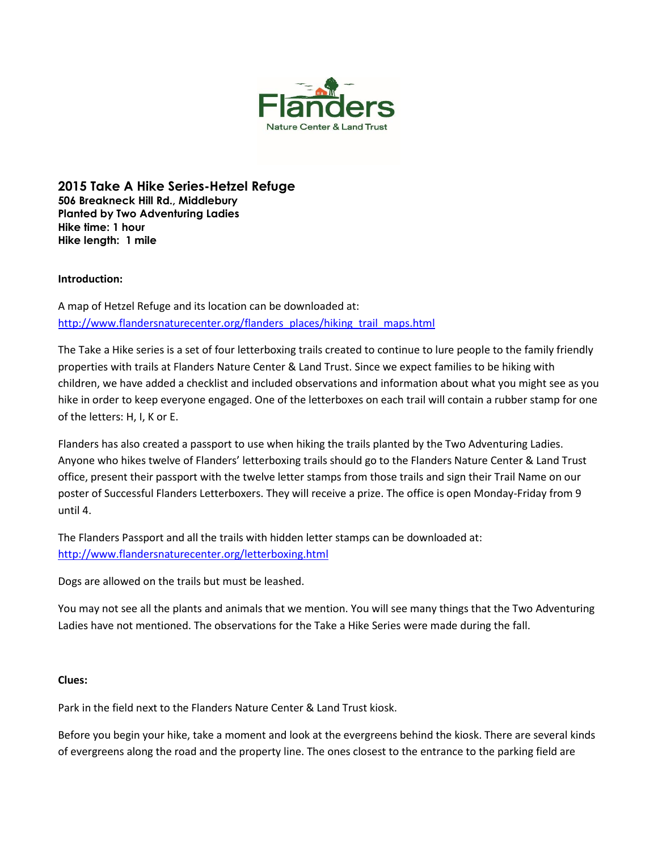

**2015 Take A Hike Series-Hetzel Refuge 506 Breakneck Hill Rd., Middlebury Planted by Two Adventuring Ladies Hike time: 1 hour Hike length: 1 mile**

## **Introduction:**

A map of Hetzel Refuge and its location can be downloaded at: [http://www.flandersnaturecenter.org/flanders\\_places/hiking\\_trail\\_maps.html](http://flandersnaturecenter.org/wp-content/uploads/2016/09/hetzel_refuge.pdf)

The Take a Hike series is a set of four letterboxing trails created to continue to lure people to the family friendly properties with trails at Flanders Nature Center & Land Trust. Since we expect families to be hiking with children, we have added a checklist and included observations and information about what you might see as you hike in order to keep everyone engaged. One of the letterboxes on each trail will contain a rubber stamp for one of the letters: H, I, K or E.

Flanders has also created a passport to use when hiking the trails planted by the Two Adventuring Ladies. Anyone who hikes twelve of Flanders' letterboxing trails should go to the Flanders Nature Center & Land Trust office, present their passport with the twelve letter stamps from those trails and sign their Trail Name on our poster of Successful Flanders Letterboxers. They will receive a prize. The office is open Monday-Friday from 9 until 4.

The Flanders Passport and all the trails with hidden letter stamps can be downloaded at: [http://www.flandersnaturecenter.org/letterboxing.html](http://flandersnaturecenter.org/letterboxing/)

Dogs are allowed on the trails but must be leashed.

You may not see all the plants and animals that we mention. You will see many things that the Two Adventuring Ladies have not mentioned. The observations for the Take a Hike Series were made during the fall.

## **Clues:**

Park in the field next to the Flanders Nature Center & Land Trust kiosk.

Before you begin your hike, take a moment and look at the evergreens behind the kiosk. There are several kinds of evergreens along the road and the property line. The ones closest to the entrance to the parking field are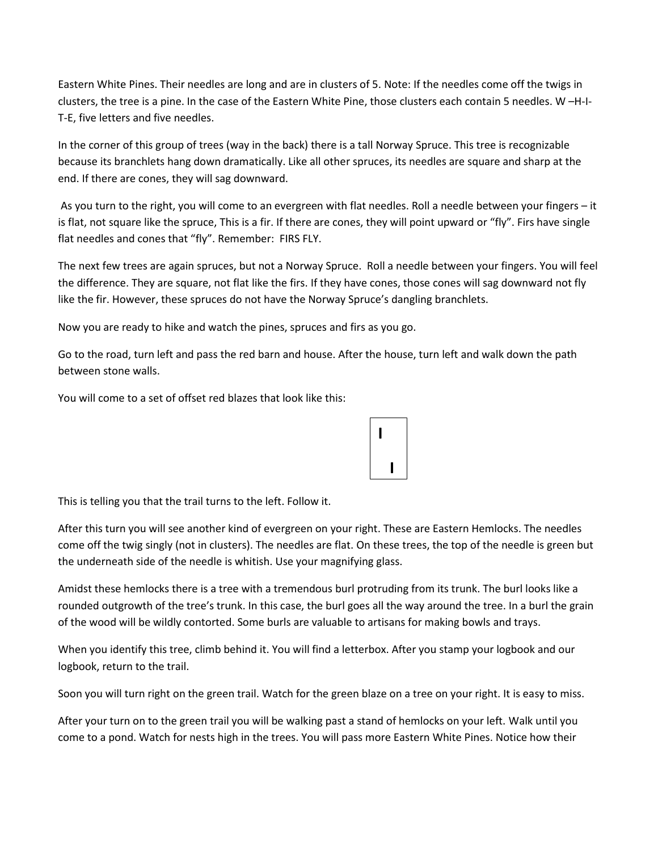Eastern White Pines. Their needles are long and are in clusters of 5. Note: If the needles come off the twigs in clusters, the tree is a pine. In the case of the Eastern White Pine, those clusters each contain 5 needles. W –H-I-T-E, five letters and five needles.

In the corner of this group of trees (way in the back) there is a tall Norway Spruce. This tree is recognizable because its branchlets hang down dramatically. Like all other spruces, its needles are square and sharp at the end. If there are cones, they will sag downward.

As you turn to the right, you will come to an evergreen with flat needles. Roll a needle between your fingers – it is flat, not square like the spruce, This is a fir. If there are cones, they will point upward or "fly". Firs have single flat needles and cones that "fly". Remember: FIRS FLY.

The next few trees are again spruces, but not a Norway Spruce. Roll a needle between your fingers. You will feel the difference. They are square, not flat like the firs. If they have cones, those cones will sag downward not fly like the fir. However, these spruces do not have the Norway Spruce's dangling branchlets.

Now you are ready to hike and watch the pines, spruces and firs as you go.

Go to the road, turn left and pass the red barn and house. After the house, turn left and walk down the path between stone walls.

You will come to a set of offset red blazes that look like this:

This is telling you that the trail turns to the left. Follow it.

After this turn you will see another kind of evergreen on your right. These are Eastern Hemlocks. The needles come off the twig singly (not in clusters). The needles are flat. On these trees, the top of the needle is green but the underneath side of the needle is whitish. Use your magnifying glass.

**I** 

 **I**

Amidst these hemlocks there is a tree with a tremendous burl protruding from its trunk. The burl looks like a rounded outgrowth of the tree's trunk. In this case, the burl goes all the way around the tree. In a burl the grain of the wood will be wildly contorted. Some burls are valuable to artisans for making bowls and trays.

When you identify this tree, climb behind it. You will find a letterbox. After you stamp your logbook and our logbook, return to the trail.

Soon you will turn right on the green trail. Watch for the green blaze on a tree on your right. It is easy to miss.

After your turn on to the green trail you will be walking past a stand of hemlocks on your left. Walk until you come to a pond. Watch for nests high in the trees. You will pass more Eastern White Pines. Notice how their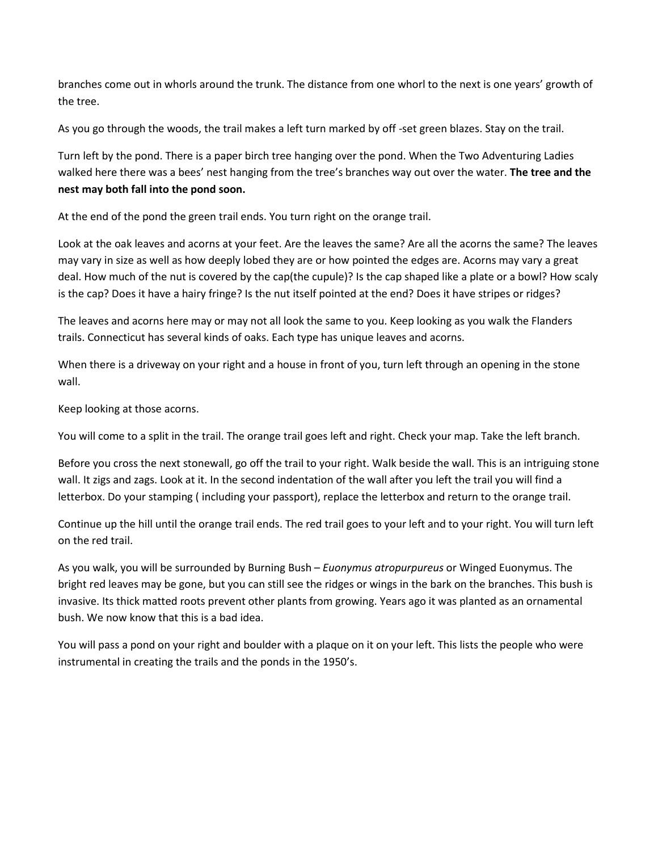branches come out in whorls around the trunk. The distance from one whorl to the next is one years' growth of the tree.

As you go through the woods, the trail makes a left turn marked by off -set green blazes. Stay on the trail.

Turn left by the pond. There is a paper birch tree hanging over the pond. When the Two Adventuring Ladies walked here there was a bees' nest hanging from the tree's branches way out over the water. **The tree and the nest may both fall into the pond soon.**

At the end of the pond the green trail ends. You turn right on the orange trail.

Look at the oak leaves and acorns at your feet. Are the leaves the same? Are all the acorns the same? The leaves may vary in size as well as how deeply lobed they are or how pointed the edges are. Acorns may vary a great deal. How much of the nut is covered by the cap(the cupule)? Is the cap shaped like a plate or a bowl? How scaly is the cap? Does it have a hairy fringe? Is the nut itself pointed at the end? Does it have stripes or ridges?

The leaves and acorns here may or may not all look the same to you. Keep looking as you walk the Flanders trails. Connecticut has several kinds of oaks. Each type has unique leaves and acorns.

When there is a driveway on your right and a house in front of you, turn left through an opening in the stone wall.

Keep looking at those acorns.

You will come to a split in the trail. The orange trail goes left and right. Check your map. Take the left branch.

Before you cross the next stonewall, go off the trail to your right. Walk beside the wall. This is an intriguing stone wall. It zigs and zags. Look at it. In the second indentation of the wall after you left the trail you will find a letterbox. Do your stamping ( including your passport), replace the letterbox and return to the orange trail.

Continue up the hill until the orange trail ends. The red trail goes to your left and to your right. You will turn left on the red trail.

As you walk, you will be surrounded by Burning Bush – *Euonymus atropurpureus* or Winged Euonymus. The bright red leaves may be gone, but you can still see the ridges or wings in the bark on the branches. This bush is invasive. Its thick matted roots prevent other plants from growing. Years ago it was planted as an ornamental bush. We now know that this is a bad idea.

You will pass a pond on your right and boulder with a plaque on it on your left. This lists the people who were instrumental in creating the trails and the ponds in the 1950's.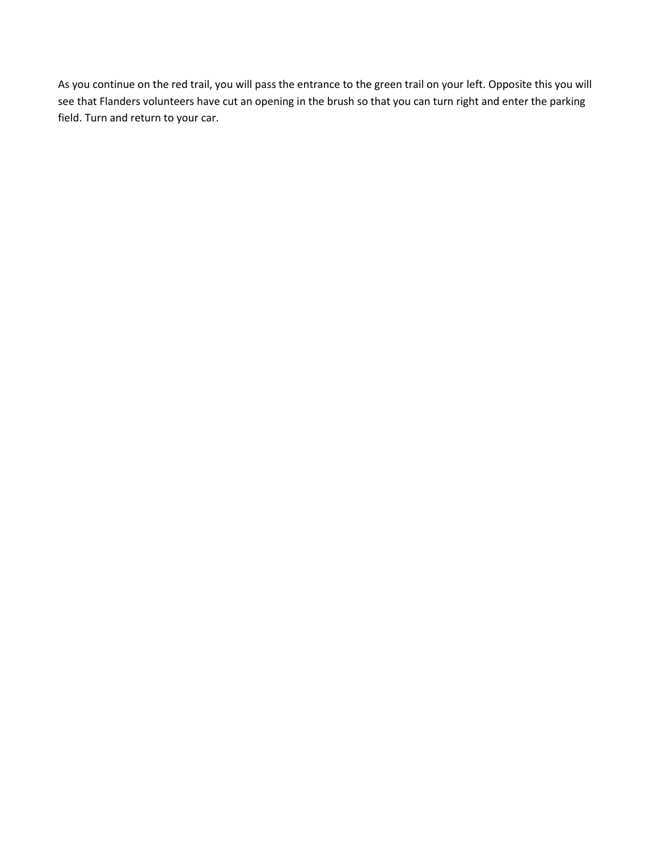As you continue on the red trail, you will pass the entrance to the green trail on your left. Opposite this you will see that Flanders volunteers have cut an opening in the brush so that you can turn right and enter the parking field. Turn and return to your car.